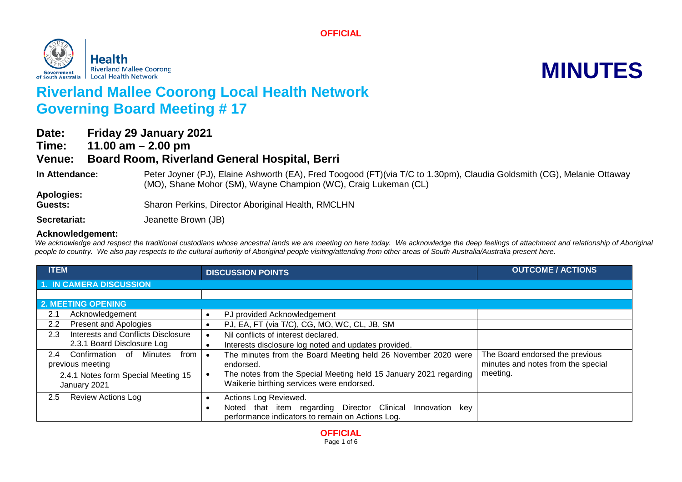**OFFICIAL**



# **Riverland Mallee Coorong Local Health Network Governing Board Meeting # 17**

| Date: | <b>Friday 29 January 2021</b>                        |
|-------|------------------------------------------------------|
| Time: | 11.00 $am - 2.00$ pm                                 |
|       | Venue: Board Room, Riverland General Hospital, Berri |
|       |                                                      |

**In Attendance:** Peter Joyner (PJ), Elaine Ashworth (EA), Fred Toogood (FT)(via T/C to 1.30pm), Claudia Goldsmith (CG), Melanie Ottaway (MO), Shane Mohor (SM), Wayne Champion (WC), Craig Lukeman (CL)

**Apologies:**

Guests: Sharon Perkins, Director Aboriginal Health, RMCLHN

Secretariat: **Secretariat:** Jeanette Brown (JB)

### **Acknowledgement:**

We acknowledge and respect the traditional custodians whose ancestral lands we are meeting on here today. We acknowledge the deep feelings of attachment and relationship of Aboriginal *people to country. We also pay respects to the cultural authority of Aboriginal people visiting/attending from other areas of South Australia/Australia present here.*

| <b>ITEM</b>                                                             | <b>DISCUSSION POINTS</b>                                                                                                                      | <b>OUTCOME / ACTIONS</b>                                              |
|-------------------------------------------------------------------------|-----------------------------------------------------------------------------------------------------------------------------------------------|-----------------------------------------------------------------------|
| <b>1. IN CAMERA DISCUSSION</b>                                          |                                                                                                                                               |                                                                       |
|                                                                         |                                                                                                                                               |                                                                       |
| <b>2. MEETING OPENING</b>                                               |                                                                                                                                               |                                                                       |
| Acknowledgement<br>2.1                                                  | PJ provided Acknowledgement                                                                                                                   |                                                                       |
| Present and Apologies<br>2.2                                            | PJ, EA, FT (via T/C), CG, MO, WC, CL, JB, SM                                                                                                  |                                                                       |
| Interests and Conflicts Disclosure<br>2.3                               | Nil conflicts of interest declared.                                                                                                           |                                                                       |
| 2.3.1 Board Disclosure Log                                              | Interests disclosure log noted and updates provided.                                                                                          |                                                                       |
| Confirmation of<br>Minutes<br>$2.4^{\circ}$<br>from<br>previous meeting | The minutes from the Board Meeting held 26 November 2020 were<br>endorsed.                                                                    | The Board endorsed the previous<br>minutes and notes from the special |
| 2.4.1 Notes form Special Meeting 15<br>January 2021                     | The notes from the Special Meeting held 15 January 2021 regarding<br>Waikerie birthing services were endorsed.                                | meeting.                                                              |
| $2.5^{\circ}$<br><b>Review Actions Log</b>                              | Actions Log Reviewed.<br>Noted that item regarding Director Clinical<br>Innovation<br>key<br>performance indicators to remain on Actions Log. |                                                                       |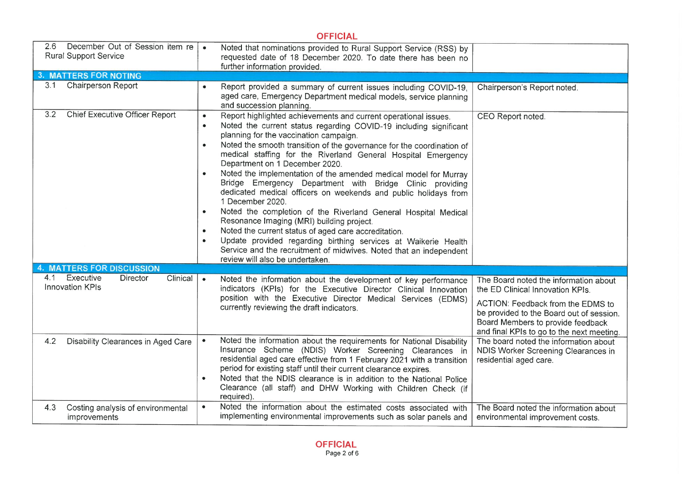# **OFFICIAL**

| 2.6<br>December Out of Session item re<br><b>Rural Support Service</b> | Noted that nominations provided to Rural Support Service (RSS) by<br>requested date of 18 December 2020. To date there has been no<br>further information provided.                                                                                                                                                                                                                                                                                                                                                                                                                                                                                                                                                                                                                                                                                                                                                                                                                                                            |                                                                                                                                                                                                                                              |
|------------------------------------------------------------------------|--------------------------------------------------------------------------------------------------------------------------------------------------------------------------------------------------------------------------------------------------------------------------------------------------------------------------------------------------------------------------------------------------------------------------------------------------------------------------------------------------------------------------------------------------------------------------------------------------------------------------------------------------------------------------------------------------------------------------------------------------------------------------------------------------------------------------------------------------------------------------------------------------------------------------------------------------------------------------------------------------------------------------------|----------------------------------------------------------------------------------------------------------------------------------------------------------------------------------------------------------------------------------------------|
| <b>3. MATTERS FOR NOTING</b>                                           |                                                                                                                                                                                                                                                                                                                                                                                                                                                                                                                                                                                                                                                                                                                                                                                                                                                                                                                                                                                                                                |                                                                                                                                                                                                                                              |
| 3.1<br><b>Chairperson Report</b>                                       | Report provided a summary of current issues including COVID-19,<br>$\bullet$<br>aged care, Emergency Department medical models, service planning<br>and succession planning.                                                                                                                                                                                                                                                                                                                                                                                                                                                                                                                                                                                                                                                                                                                                                                                                                                                   | Chairperson's Report noted.                                                                                                                                                                                                                  |
| <b>Chief Executive Officer Report</b><br>3.2                           | Report highlighted achievements and current operational issues.<br>$\bullet$<br>Noted the current status regarding COVID-19 including significant<br>$\bullet$<br>planning for the vaccination campaign.<br>Noted the smooth transition of the governance for the coordination of<br>$\bullet$<br>medical staffing for the Riverland General Hospital Emergency<br>Department on 1 December 2020.<br>Noted the implementation of the amended medical model for Murray<br>$\bullet$<br>Bridge Emergency Department with Bridge Clinic providing<br>dedicated medical officers on weekends and public holidays from<br>1 December 2020.<br>Noted the completion of the Riverland General Hospital Medical<br>$\bullet$<br>Resonance Imaging (MRI) building project.<br>Noted the current status of aged care accreditation.<br>$\bullet$<br>Update provided regarding birthing services at Waikerie Health<br>$\bullet$<br>Service and the recruitment of midwives. Noted that an independent<br>review will also be undertaken. | CEO Report noted.                                                                                                                                                                                                                            |
| <b>MATTERS FOR DISCUSSION</b>                                          |                                                                                                                                                                                                                                                                                                                                                                                                                                                                                                                                                                                                                                                                                                                                                                                                                                                                                                                                                                                                                                |                                                                                                                                                                                                                                              |
| Executive<br>4.1<br>Director<br>Clinical<br><b>Innovation KPIs</b>     | $\bullet$<br>Noted the information about the development of key performance<br>indicators (KPIs) for the Executive Director Clinical Innovation<br>position with the Executive Director Medical Services (EDMS)<br>currently reviewing the draft indicators.                                                                                                                                                                                                                                                                                                                                                                                                                                                                                                                                                                                                                                                                                                                                                                   | The Board noted the information about<br>the ED Clinical Innovation KPIs.<br>ACTION: Feedback from the EDMS to<br>be provided to the Board out of session.<br>Board Members to provide feedback<br>and final KPIs to go to the next meeting. |
| 4.2<br>Disability Clearances in Aged Care                              | Noted the information about the requirements for National Disability<br>$\bullet$<br>Insurance Scheme (NDIS) Worker Screening Clearances in<br>residential aged care effective from 1 February 2021 with a transition<br>period for existing staff until their current clearance expires.<br>Noted that the NDIS clearance is in addition to the National Police<br>$\bullet$<br>Clearance (all staff) and DHW Working with Children Check (if<br>required).                                                                                                                                                                                                                                                                                                                                                                                                                                                                                                                                                                   | The board noted the information about<br>NDIS Worker Screening Clearances in<br>residential aged care.                                                                                                                                       |
| 4.3<br>Costing analysis of environmental<br>improvements               | Noted the information about the estimated costs associated with<br>$\bullet$<br>implementing environmental improvements such as solar panels and                                                                                                                                                                                                                                                                                                                                                                                                                                                                                                                                                                                                                                                                                                                                                                                                                                                                               | The Board noted the information about<br>environmental improvement costs.                                                                                                                                                                    |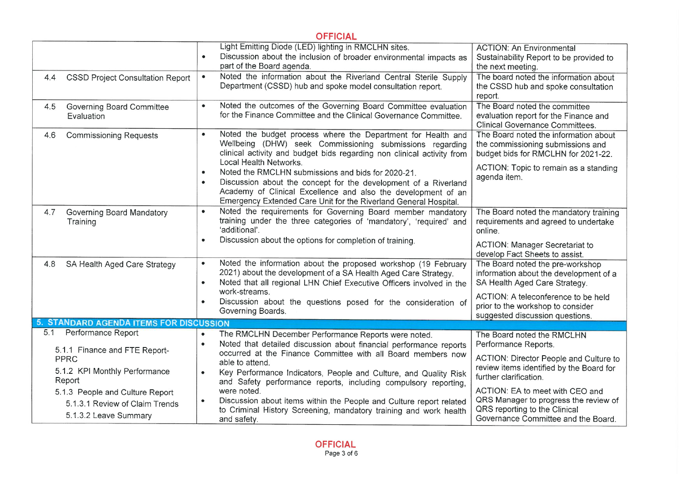| <b>OFFICIAL</b>                                                                            |                                                                                                                                                                                                                                                                                      |                                                                                                                                                  |
|--------------------------------------------------------------------------------------------|--------------------------------------------------------------------------------------------------------------------------------------------------------------------------------------------------------------------------------------------------------------------------------------|--------------------------------------------------------------------------------------------------------------------------------------------------|
|                                                                                            | Light Emitting Diode (LED) lighting in RMCLHN sites.<br>Discussion about the inclusion of broader environmental impacts as<br>part of the Board agenda.                                                                                                                              | <b>ACTION: An Environmental</b><br>Sustainability Report to be provided to<br>the next meeting.                                                  |
| <b>CSSD Project Consultation Report</b><br>4.4                                             | Noted the information about the Riverland Central Sterile Supply<br>$\bullet$<br>Department (CSSD) hub and spoke model consultation report.                                                                                                                                          | The board noted the information about<br>the CSSD hub and spoke consultation<br>report.                                                          |
| <b>Governing Board Committee</b><br>4.5<br>Evaluation                                      | Noted the outcomes of the Governing Board Committee evaluation<br>$\bullet$<br>for the Finance Committee and the Clinical Governance Committee.                                                                                                                                      | The Board noted the committee<br>evaluation report for the Finance and<br><b>Clinical Governance Committees.</b>                                 |
| 4.6<br><b>Commissioning Requests</b>                                                       | Noted the budget process where the Department for Health and<br>$\bullet$<br>Wellbeing (DHW) seek Commissioning submissions regarding<br>clinical activity and budget bids regarding non clinical activity from<br>Local Health Networks.                                            | The Board noted the information about<br>the commissioning submissions and<br>budget bids for RMCLHN for 2021-22.                                |
|                                                                                            | Noted the RMCLHN submissions and bids for 2020-21.<br>$\bullet$<br>Discussion about the concept for the development of a Riverland<br>$\bullet$<br>Academy of Clinical Excellence and also the development of an<br>Emergency Extended Care Unit for the Riverland General Hospital. | ACTION: Topic to remain as a standing<br>agenda item.                                                                                            |
| 4.7<br>Governing Board Mandatory<br>Training                                               | Noted the requirements for Governing Board member mandatory<br>$\bullet$<br>training under the three categories of 'mandatory', 'required' and<br>'additional'.                                                                                                                      | The Board noted the mandatory training<br>requirements and agreed to undertake<br>online.                                                        |
|                                                                                            | Discussion about the options for completion of training.<br>$\bullet$                                                                                                                                                                                                                | <b>ACTION: Manager Secretariat to</b><br>develop Fact Sheets to assist.                                                                          |
| 4.8<br>SA Health Aged Care Strategy                                                        | Noted the information about the proposed workshop (19 February<br>$\bullet$<br>2021) about the development of a SA Health Aged Care Strategy.<br>Noted that all regional LHN Chief Executive Officers involved in the<br>$\bullet$                                                   | The Board noted the pre-workshop<br>information about the development of a<br>SA Health Aged Care Strategy.                                      |
|                                                                                            | work-streams.<br>Discussion about the questions posed for the consideration of<br>$\bullet$<br>Governing Boards.                                                                                                                                                                     | ACTION: A teleconference to be held<br>prior to the workshop to consider<br>suggested discussion questions.                                      |
| 5. STANDARD AGENDA ITEMS FOR DISCUSSION                                                    |                                                                                                                                                                                                                                                                                      |                                                                                                                                                  |
| <b>Performance Report</b><br>5.1<br>5.1.1 Finance and FTE Report-                          | The RMCLHN December Performance Reports were noted.<br>$\bullet$<br>Noted that detailed discussion about financial performance reports<br>$\bullet$                                                                                                                                  | The Board noted the RMCLHN<br>Performance Reports.                                                                                               |
| <b>PPRC</b><br>5.1.2 KPI Monthly Performance<br>Report                                     | occurred at the Finance Committee with all Board members now<br>able to attend.<br>Key Performance Indicators, People and Culture, and Quality Risk<br>$\bullet$<br>and Safety performance reports, including compulsory reporting,                                                  | ACTION: Director People and Culture to<br>review items identified by the Board for<br>further clarification.                                     |
| 5.1.3 People and Culture Report<br>5.1.3.1 Review of Claim Trends<br>5.1.3.2 Leave Summary | were noted.<br>Discussion about items within the People and Culture report related<br>$\bullet$<br>to Criminal History Screening, mandatory training and work health<br>and safety.                                                                                                  | ACTION: EA to meet with CEO and<br>QRS Manager to progress the review of<br>QRS reporting to the Clinical<br>Governance Committee and the Board. |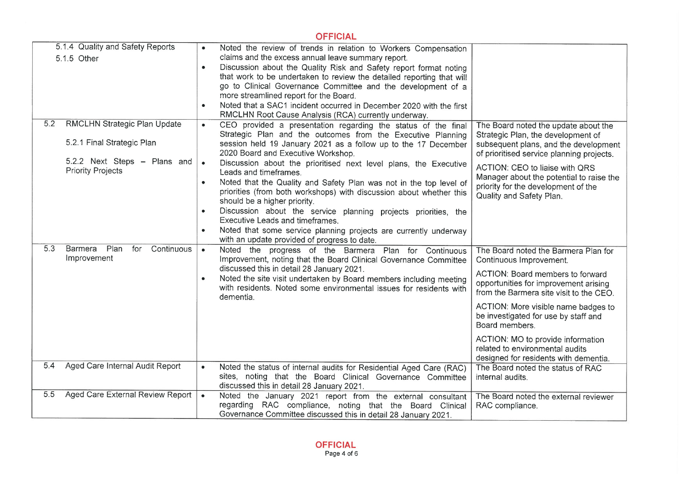|     |                                                                                                                        | <b>OFFICIAL</b>                                                                                                                                                                                                                                                                                                                                                                                                                                                                                                                                                                                                                                                                                                                                                                                          |                                                                                                                                                                                                                                                                                                                                                                                                           |
|-----|------------------------------------------------------------------------------------------------------------------------|----------------------------------------------------------------------------------------------------------------------------------------------------------------------------------------------------------------------------------------------------------------------------------------------------------------------------------------------------------------------------------------------------------------------------------------------------------------------------------------------------------------------------------------------------------------------------------------------------------------------------------------------------------------------------------------------------------------------------------------------------------------------------------------------------------|-----------------------------------------------------------------------------------------------------------------------------------------------------------------------------------------------------------------------------------------------------------------------------------------------------------------------------------------------------------------------------------------------------------|
|     | 5.1.4 Quality and Safety Reports<br>5.1.5 Other                                                                        | Noted the review of trends in relation to Workers Compensation<br>$\bullet$<br>claims and the excess annual leave summary report.<br>Discussion about the Quality Risk and Safety report format noting<br>$\bullet$<br>that work to be undertaken to review the detailed reporting that will<br>go to Clinical Governance Committee and the development of a<br>more streamlined report for the Board.<br>Noted that a SAC1 incident occurred in December 2020 with the first<br>$\bullet$<br>RMCLHN Root Cause Analysis (RCA) currently underway.                                                                                                                                                                                                                                                       |                                                                                                                                                                                                                                                                                                                                                                                                           |
| 5.2 | RMCLHN Strategic Plan Update<br>5.2.1 Final Strategic Plan<br>5.2.2 Next Steps - Plans and<br><b>Priority Projects</b> | CEO provided a presentation regarding the status of the final<br>$\bullet$<br>Strategic Plan and the outcomes from the Executive Planning<br>session held 19 January 2021 as a follow up to the 17 December<br>2020 Board and Executive Workshop.<br>$\bullet$<br>Discussion about the prioritised next level plans, the Executive<br>Leads and timeframes.<br>Noted that the Quality and Safety Plan was not in the top level of<br>$\bullet$<br>priorities (from both workshops) with discussion about whether this<br>should be a higher priority.<br>Discussion about the service planning projects priorities, the<br>$\bullet$<br>Executive Leads and timeframes.<br>Noted that some service planning projects are currently underway<br>$\bullet$<br>with an update provided of progress to date. | The Board noted the update about the<br>Strategic Plan, the development of<br>subsequent plans, and the development<br>of prioritised service planning projects.<br>ACTION: CEO to liaise with QRS<br>Manager about the potential to raise the<br>priority for the development of the<br>Quality and Safety Plan.                                                                                         |
| 5.3 | Barmera<br>Plan<br>for<br>Continuous<br>Improvement                                                                    | Noted the progress of the Barmera Plan for Continuous<br>$\bullet$<br>Improvement, noting that the Board Clinical Governance Committee<br>discussed this in detail 28 January 2021.<br>Noted the site visit undertaken by Board members including meeting<br>with residents. Noted some environmental issues for residents with<br>dementia.                                                                                                                                                                                                                                                                                                                                                                                                                                                             | The Board noted the Barmera Plan for<br>Continuous Improvement.<br>ACTION: Board members to forward<br>opportunities for improvement arising<br>from the Barmera site visit to the CEO.<br>ACTION: More visible name badges to<br>be investigated for use by staff and<br>Board members.<br>ACTION: MO to provide information<br>related to environmental audits<br>designed for residents with dementia. |
| 5.4 | Aged Care Internal Audit Report                                                                                        | Noted the status of internal audits for Residential Aged Care (RAC)<br>sites, noting that the Board Clinical Governance Committee<br>discussed this in detail 28 January 2021.                                                                                                                                                                                                                                                                                                                                                                                                                                                                                                                                                                                                                           | The Board noted the status of RAC<br>internal audits.                                                                                                                                                                                                                                                                                                                                                     |
| 5.5 | Aged Care External Review Report                                                                                       | Noted the January 2021 report from the external consultant<br>$\bullet$<br>regarding RAC compliance, noting that the Board Clinical<br>Governance Committee discussed this in detail 28 January 2021.                                                                                                                                                                                                                                                                                                                                                                                                                                                                                                                                                                                                    | The Board noted the external reviewer<br>RAC compliance.                                                                                                                                                                                                                                                                                                                                                  |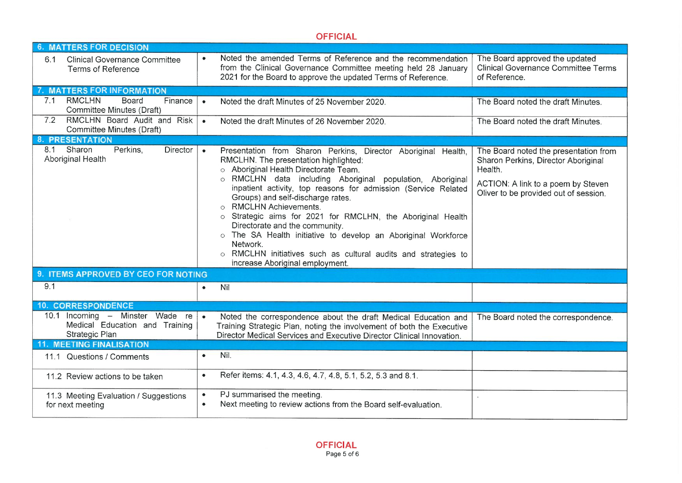|                                                                                     | <b>OFFICIAL</b>                                                                                                                                                                                                                                                                                                                                                                                                                                                                                                                                                                                                                                    |                                                                                                                                                                        |
|-------------------------------------------------------------------------------------|----------------------------------------------------------------------------------------------------------------------------------------------------------------------------------------------------------------------------------------------------------------------------------------------------------------------------------------------------------------------------------------------------------------------------------------------------------------------------------------------------------------------------------------------------------------------------------------------------------------------------------------------------|------------------------------------------------------------------------------------------------------------------------------------------------------------------------|
| <b>6. MATTERS FOR DECISION</b>                                                      |                                                                                                                                                                                                                                                                                                                                                                                                                                                                                                                                                                                                                                                    |                                                                                                                                                                        |
| <b>Clinical Governance Committee</b><br>6.1<br>Terms of Reference                   | Noted the amended Terms of Reference and the recommendation<br>$\bullet$<br>from the Clinical Governance Committee meeting held 28 January<br>2021 for the Board to approve the updated Terms of Reference.                                                                                                                                                                                                                                                                                                                                                                                                                                        | The Board approved the updated<br><b>Clinical Governance Committee Terms</b><br>of Reference.                                                                          |
| 7. MATTERS FOR INFORMATION                                                          |                                                                                                                                                                                                                                                                                                                                                                                                                                                                                                                                                                                                                                                    |                                                                                                                                                                        |
| <b>RMCLHN</b><br><b>Board</b><br>7.1<br>Finance<br>Committee Minutes (Draft)        | $\bullet$<br>Noted the draft Minutes of 25 November 2020.                                                                                                                                                                                                                                                                                                                                                                                                                                                                                                                                                                                          | The Board noted the draft Minutes.                                                                                                                                     |
| RMCLHN Board Audit and Risk<br>7.2<br>Committee Minutes (Draft)                     | Noted the draft Minutes of 26 November 2020.<br>$\bullet$                                                                                                                                                                                                                                                                                                                                                                                                                                                                                                                                                                                          | The Board noted the draft Minutes.                                                                                                                                     |
| <b>8. PRESENTATION</b>                                                              |                                                                                                                                                                                                                                                                                                                                                                                                                                                                                                                                                                                                                                                    |                                                                                                                                                                        |
| 8.1 Sharon<br>Perkins,<br>Director  <br>Aboriginal Health                           | $\bullet$<br>Presentation from Sharon Perkins, Director Aboriginal Health,<br>RMCLHN. The presentation highlighted:<br>o Aboriginal Health Directorate Team.<br>o RMCLHN data including Aboriginal population, Aboriginal<br>inpatient activity, top reasons for admission (Service Related<br>Groups) and self-discharge rates.<br><b>RMCLHN Achievements.</b><br>o Strategic aims for 2021 for RMCLHN, the Aboriginal Health<br>Directorate and the community.<br>o The SA Health initiative to develop an Aboriginal Workforce<br>Network.<br>o RMCLHN initiatives such as cultural audits and strategies to<br>increase Aboriginal employment. | The Board noted the presentation from<br>Sharon Perkins, Director Aboriginal<br>Health.<br>ACTION: A link to a poem by Steven<br>Oliver to be provided out of session. |
| 9. ITEMS APPROVED BY CEO FOR NOTING                                                 |                                                                                                                                                                                                                                                                                                                                                                                                                                                                                                                                                                                                                                                    |                                                                                                                                                                        |
| 9.1                                                                                 | Nil<br>$\bullet$                                                                                                                                                                                                                                                                                                                                                                                                                                                                                                                                                                                                                                   |                                                                                                                                                                        |
| <b>10. CORRESPONDENCE</b>                                                           |                                                                                                                                                                                                                                                                                                                                                                                                                                                                                                                                                                                                                                                    |                                                                                                                                                                        |
| 10.1 Incoming - Minster Wade re<br>Medical Education and Training<br>Strategic Plan | Noted the correspondence about the draft Medical Education and<br>Training Strategic Plan, noting the involvement of both the Executive<br>Director Medical Services and Executive Director Clinical Innovation.                                                                                                                                                                                                                                                                                                                                                                                                                                   | The Board noted the correspondence.                                                                                                                                    |
| <b>11. MEETING FINALISATION</b>                                                     |                                                                                                                                                                                                                                                                                                                                                                                                                                                                                                                                                                                                                                                    |                                                                                                                                                                        |
| 11.1 Questions / Comments                                                           | Nil.<br>$\bullet$                                                                                                                                                                                                                                                                                                                                                                                                                                                                                                                                                                                                                                  |                                                                                                                                                                        |
| 11.2 Review actions to be taken                                                     | Refer items: 4.1, 4.3, 4.6, 4.7, 4.8, 5.1, 5.2, 5.3 and 8.1.<br>$\bullet$                                                                                                                                                                                                                                                                                                                                                                                                                                                                                                                                                                          |                                                                                                                                                                        |
| 11.3 Meeting Evaluation / Suggestions<br>for next meeting                           | PJ summarised the meeting.<br>$\bullet$<br>Next meeting to review actions from the Board self-evaluation.                                                                                                                                                                                                                                                                                                                                                                                                                                                                                                                                          |                                                                                                                                                                        |